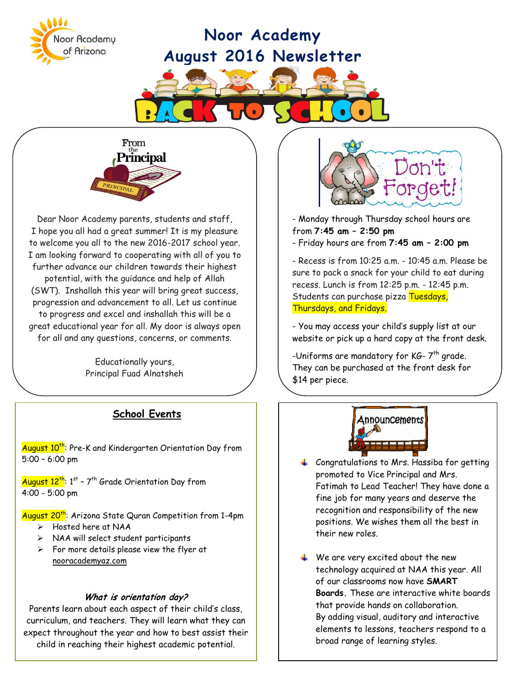# **Noor Academy August 2016 Newsletter**





Noor Academy of Arizona

Dear Noor Academy parents, students and staff, I hope you all had a great summer! It is my pleasure to welcome you all to the new 2016-2017 school year. I am looking forward to cooperating with all of you to further advance our children towards their highest potential, with the guidance and help of Allah (SWT). Inshallah this year will bring great success, progression and advancement to all. Let us continue to progress and excel and inshallah this will be a great educational year for all. My door is always open for all and any questions, concerns, or comments.

> Educationally yours, Principal Fuad Alnatsheh

## **School Events**

August 10<sup>th</sup>: Pre-K and Kindergarten Orientation Day from 5:00 – 6:00 pm

August  $12^{\text{th}}$ : 1st – 7<sup>th</sup> Grade Orientation Day from 4:00 - 5:00 pm

August 20<sup>th</sup>: Arizona State Quran Competition from 1-4pm

- Hosted here at NAA
- $\triangleright$  NAA will select student participants
- $\triangleright$  For more details please view the flyer at nooracademyaz.com

#### What is orientation day?

Parents learn about each aspect of their child's class, curriculum, and teachers. They will learn what they can expect throughout the year and how to best assist their child in reaching their highest academic potential.



- Monday through Thursday school hours are from **7:45 am – 2:50 pm**

**Field Day** - Friday hours are from **7:45 am – 2:00 pm**

- Recess is from 10:25 a.m. - 10:45 a.m. Please be sure to pack a snack for your child to eat during recess. Lunch is from 12:25 p.m. - 12:45 p.m. Students can purchase pizza Tuesdays, Thursdays, and Fridays.

- You may access your child's supply list at our website or pick up a hard copy at the front desk.

-Uniforms are mandatory for KG-  $7^{th}$  grade. They can be purchased at the front desk for \$14 per piece.



- $\leftarrow$  Congratulations to Mrs. Hassiba for getting promoted to Vice Principal and Mrs. Fatimah to Lead Teacher! They have done a fine job for many years and deserve the recognition and responsibility of the new positions. We wishes them all the best in their new roles.
- $\triangleq$  We are very excited about the new technology acquired at NAA this year. All of our classrooms now have **SMART Boards.** These are interactive white boards that provide hands on collaboration. By adding visual, auditory and interactive elements to lessons, teachers respond to a broad range of learning styles.